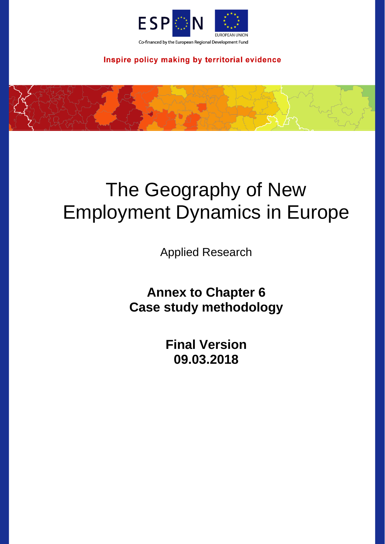

# Inspire policy making by territorial evidence



# The Geography of New Employment Dynamics in Europe

Applied Research

**Annex to Chapter 6 Case study methodology**

> **Final Version 09.03.2018**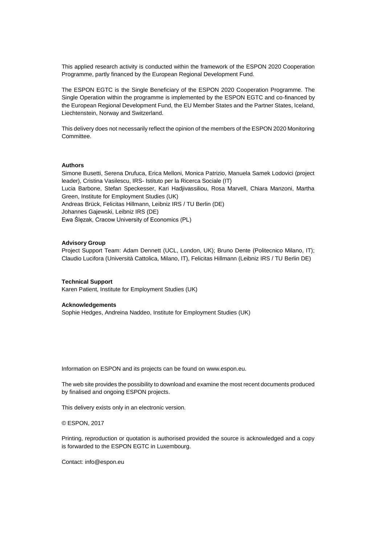This applied research activity is conducted within the framework of the ESPON 2020 Cooperation Programme, partly financed by the European Regional Development Fund.

The ESPON EGTC is the Single Beneficiary of the ESPON 2020 Cooperation Programme. The Single Operation within the programme is implemented by the ESPON EGTC and co-financed by the European Regional Development Fund, the EU Member States and the Partner States, Iceland, Liechtenstein, Norway and Switzerland.

This delivery does not necessarily reflect the opinion of the members of the ESPON 2020 Monitoring Committee.

### **Authors**

Simone Busetti, Serena Drufuca, Erica Melloni, Monica Patrizio, Manuela Samek Lodovici (project leader), Cristina Vasilescu, IRS- Istituto per la Ricerca Sociale (IT) Lucia Barbone, Stefan Speckesser, Kari Hadjivassiliou, Rosa Marvell, Chiara Manzoni, Martha Green, Institute for Employment Studies (UK) Andreas Brück, Felicitas Hillmann, Leibniz IRS / TU Berlin (DE) Johannes Gajewski, Leibniz IRS (DE) Ewa Ślęzak, Cracow University of Economics (PL)

### **Advisory Group**

Project Support Team: Adam Dennett (UCL, London, UK); Bruno Dente (Politecnico Milano, IT); Claudio Lucifora (Università Cattolica, Milano, IT), Felicitas Hillmann (Leibniz IRS / TU Berlin DE)

### **Technical Support**

Karen Patient, Institute for Employment Studies (UK)

#### **Acknowledgements**

Sophie Hedges, Andreina Naddeo, Institute for Employment Studies (UK)

Information on ESPON and its projects can be found on [www.espon.eu.](https://www.espon.eu/)

The web site provides the possibility to download and examine the most recent documents produced by finalised and ongoing ESPON projects.

This delivery exists only in an electronic version.

© ESPON, 2017

Printing, reproduction or quotation is authorised provided the source is acknowledged and a copy is forwarded to the ESPON EGTC in Luxembourg.

Contact: [info@espon.eu](mailto:info@espon.eu)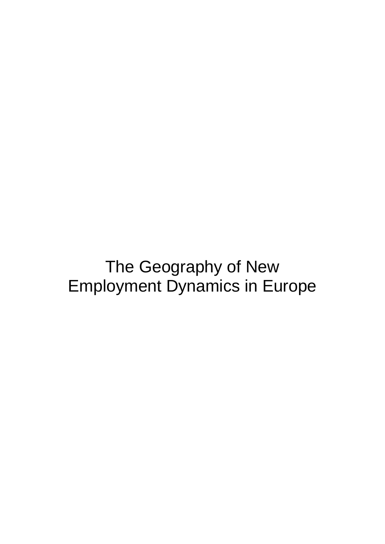The Geography of New Employment Dynamics in Europe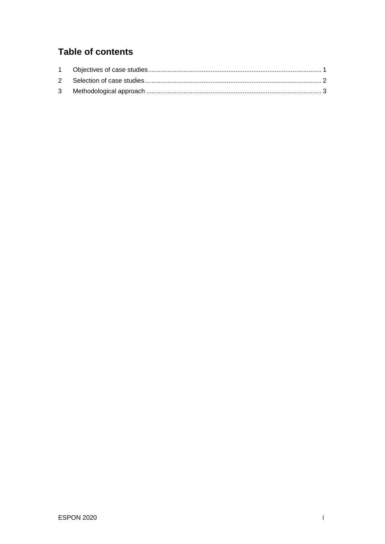# **Table of contents**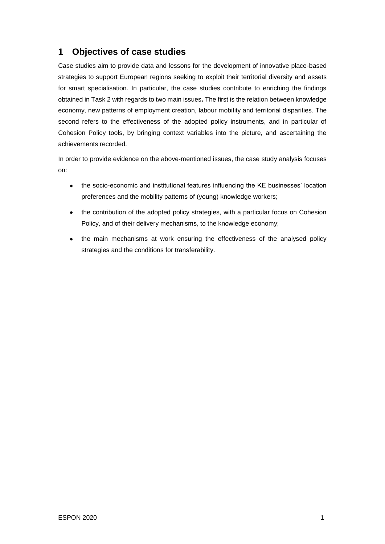# <span id="page-4-0"></span>**1 Objectives of case studies**

Case studies aim to provide data and lessons for the development of innovative place-based strategies to support European regions seeking to exploit their territorial diversity and assets for smart specialisation. In particular, the case studies contribute to enriching the findings obtained in Task 2 with regards to two main issues**.** The first is the relation between knowledge economy, new patterns of employment creation, labour mobility and territorial disparities. The second refers to the effectiveness of the adopted policy instruments, and in particular of Cohesion Policy tools, by bringing context variables into the picture, and ascertaining the achievements recorded.

In order to provide evidence on the above-mentioned issues, the case study analysis focuses on:

- the socio-economic and institutional features influencing the KE businesses' location preferences and the mobility patterns of (young) knowledge workers;
- the contribution of the adopted policy strategies, with a particular focus on Cohesion Policy, and of their delivery mechanisms, to the knowledge economy;
- the main mechanisms at work ensuring the effectiveness of the analysed policy strategies and the conditions for transferability.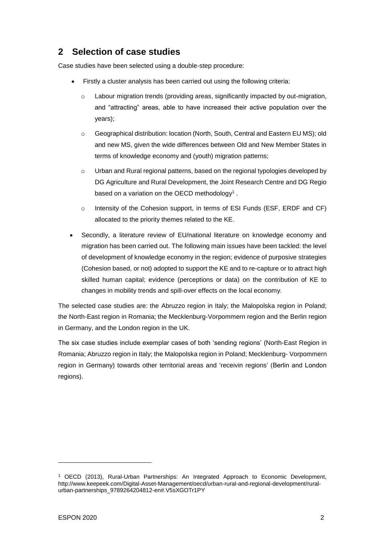# <span id="page-5-0"></span>**2 Selection of case studies**

Case studies have been selected using a double-step procedure:

- Firstly a cluster analysis has been carried out using the following criteria:
	- $\circ$  Labour migration trends (providing areas, significantly impacted by out-migration, and "attracting" areas, able to have increased their active population over the years);
	- o Geographical distribution: location (North, South, Central and Eastern EU MS); old and new MS, given the wide differences between Old and New Member States in terms of knowledge economy and (youth) migration patterns;
	- o Urban and Rural regional patterns, based on the regional typologies developed by DG Agriculture and Rural Development, the Joint Research Centre and DG Regio based on a variation on the OECD methodology<sup>1</sup>.
	- o Intensity of the Cohesion support, in terms of ESI Funds (ESF, ERDF and CF) allocated to the priority themes related to the KE.
- Secondly, a literature review of EU/national literature on knowledge economy and migration has been carried out. The following main issues have been tackled: the level of development of knowledge economy in the region; evidence of purposive strategies (Cohesion based, or not) adopted to support the KE and to re-capture or to attract high skilled human capital; evidence (perceptions or data) on the contribution of KE to changes in mobility trends and spill-over effects on the local economy.

The selected case studies are: the Abruzzo region in Italy; the Malopolska region in Poland; the North-East region in Romania; the Mecklenburg-Vorpommern region and the Berlin region in Germany, and the London region in the UK.

The six case studies include exemplar cases of both 'sending regions' (North-East Region in Romania; Abruzzo region in Italy; the Malopolska region in Poland; Mecklenburg- Vorpommern region in Germany) towards other territorial areas and 'receivin regions' (Berlin and London regions).

-

<sup>1</sup> OECD (2013), Rural-Urban Partnerships: An Integrated Approach to Economic Development, [http://www.keepeek.com/Digital-Asset-Management/oecd/urban-rural-and-regional-development/rural](http://www.keepeek.com/Digital-Asset-Management/oecd/urban-rural-and-regional-development/rural-urban-partnerships_9789264204812-en#.V5sXGOTr1PY)[urban-partnerships\\_9789264204812-en#.V5sXGOTr1PY](http://www.keepeek.com/Digital-Asset-Management/oecd/urban-rural-and-regional-development/rural-urban-partnerships_9789264204812-en#.V5sXGOTr1PY)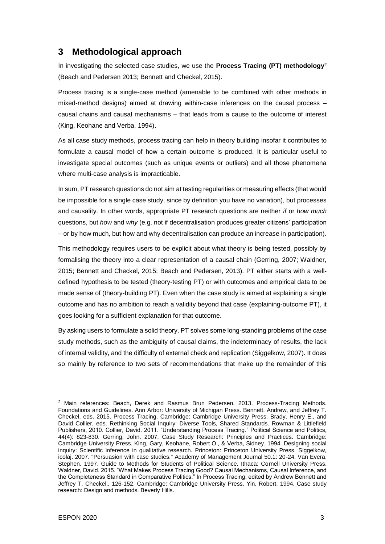### <span id="page-6-0"></span>**3 Methodological approach**

In investigating the selected case studies, we use the **Process Tracing (PT) methodology**<sup>2</sup> (Beach and Pedersen 2013; Bennett and Checkel, 2015).

Process tracing is a single-case method (amenable to be combined with other methods in mixed-method designs) aimed at drawing within-case inferences on the causal process – causal chains and causal mechanisms – that leads from a cause to the outcome of interest (King, Keohane and Verba, 1994).

As all case study methods, process tracing can help in theory building insofar it contributes to formulate a causal model of how a certain outcome is produced. It is particular useful to investigate special outcomes (such as unique events or outliers) and all those phenomena where multi-case analysis is impracticable.

In sum, PT research questions do not aim at testing regularities or measuring effects (that would be impossible for a single case study, since by definition you have no variation), but processes and causality. In other words, appropriate PT research questions are neither *if* or *how much* questions, but *how* and *why* (e.g. not if decentralisation produces greater citizens' participation – or by how much, but how and why decentralisation can produce an increase in participation).

This methodology requires users to be explicit about what theory is being tested, possibly by formalising the theory into a clear representation of a causal chain (Gerring, 2007; Waldner, 2015; Bennett and Checkel, 2015; Beach and Pedersen, 2013). PT either starts with a welldefined hypothesis to be tested (theory-testing PT) or with outcomes and empirical data to be made sense of (theory-building PT). Even when the case study is aimed at explaining a single outcome and has no ambition to reach a validity beyond that case (explaining-outcome PT), it goes looking for a sufficient explanation for that outcome.

By asking users to formulate a solid theory, PT solves some long-standing problems of the case study methods, such as the ambiguity of causal claims, the indeterminacy of results, the lack of internal validity, and the difficulty of external check and replication (Siggelkow, 2007). It does so mainly by reference to two sets of recommendations that make up the remainder of this

-

<sup>&</sup>lt;sup>2</sup> Main references: Beach, Derek and Rasmus Brun Pedersen. 2013. Process-Tracing Methods. Foundations and Guidelines. Ann Arbor: University of Michigan Press. Bennett, Andrew, and Jeffrey T. Checkel, eds. 2015. Process Tracing. Cambridge: Cambridge University Press. Brady, Henry E., and David Collier, eds. Rethinking Social Inquiry: Diverse Tools, Shared Standards. Rowman & Littlefield Publishers, 2010. Collier, David. 2011. "Understanding Process Tracing." Political Science and Politics, 44(4): 823-830. Gerring, John. 2007. Case Study Research: Principles and Practices. Cambridge: Cambridge University Press. King, Gary, Keohane, Robert O., & Verba, Sidney. 1994. Designing social inquiry: Scientific inference in qualitative research. Princeton: Princeton University Press. Siggelkow, icolaj. 2007. "Persuasion with case studies." Academy of Management Journal 50.1: 20-24. Van Evera, Stephen. 1997. Guide to Methods for Students of Political Science. Ithaca: Cornell University Press. Waldner, David. 2015. "What Makes Process Tracing Good? Causal Mechanisms, Causal Inference, and the Completeness Standard in Comparative Politics." In Process Tracing, edited by Andrew Bennett and Jeffrey T. Checkel., 126-152. Cambridge: Cambridge University Press. Yin, Robert. 1994. Case study research: Design and methods. Beverly Hills.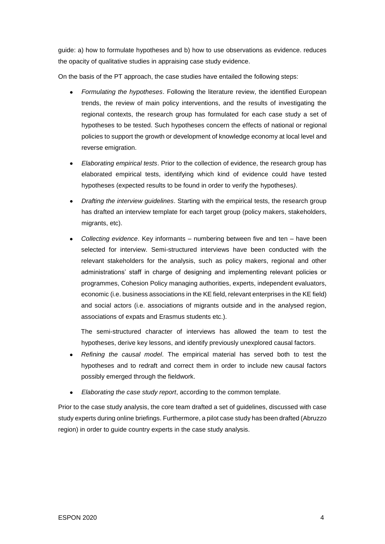guide: a) how to formulate hypotheses and b) how to use observations as evidence. reduces the opacity of qualitative studies in appraising case study evidence.

On the basis of the PT approach, the case studies have entailed the following steps:

- *Formulating the hypotheses*. Following the literature review, the identified European trends, the review of main policy interventions, and the results of investigating the regional contexts, the research group has formulated for each case study a set of hypotheses to be tested. Such hypotheses concern the effects of national or regional policies to support the growth or development of knowledge economy at local level and reverse emigration.
- *Elaborating empirical tests*. Prior to the collection of evidence, the research group has elaborated empirical tests, identifying which kind of evidence could have tested hypotheses (expected results to be found in order to verify the hypotheses*)*.
- *Drafting the interview guidelines*. Starting with the empirical tests, the research group has drafted an interview template for each target group (policy makers, stakeholders, migrants, etc).
- *Collecting evidence*. Key informants numbering between five and ten have been selected for interview. Semi-structured interviews have been conducted with the relevant stakeholders for the analysis, such as policy makers, regional and other administrations' staff in charge of designing and implementing relevant policies or programmes, Cohesion Policy managing authorities, experts, independent evaluators, economic (i.e. business associations in the KE field, relevant enterprises in the KE field) and social actors (i.e. associations of migrants outside and in the analysed region, associations of expats and Erasmus students etc.).

The semi-structured character of interviews has allowed the team to test the hypotheses, derive key lessons, and identify previously unexplored causal factors.

- *Refining the causal model*. The empirical material has served both to test the hypotheses and to redraft and correct them in order to include new causal factors possibly emerged through the fieldwork.
- *Elaborating the case study report*, according to the common template.

Prior to the case study analysis, the core team drafted a set of guidelines, discussed with case study experts during online briefings. Furthermore, a pilot case study has been drafted (Abruzzo region) in order to quide country experts in the case study analysis.